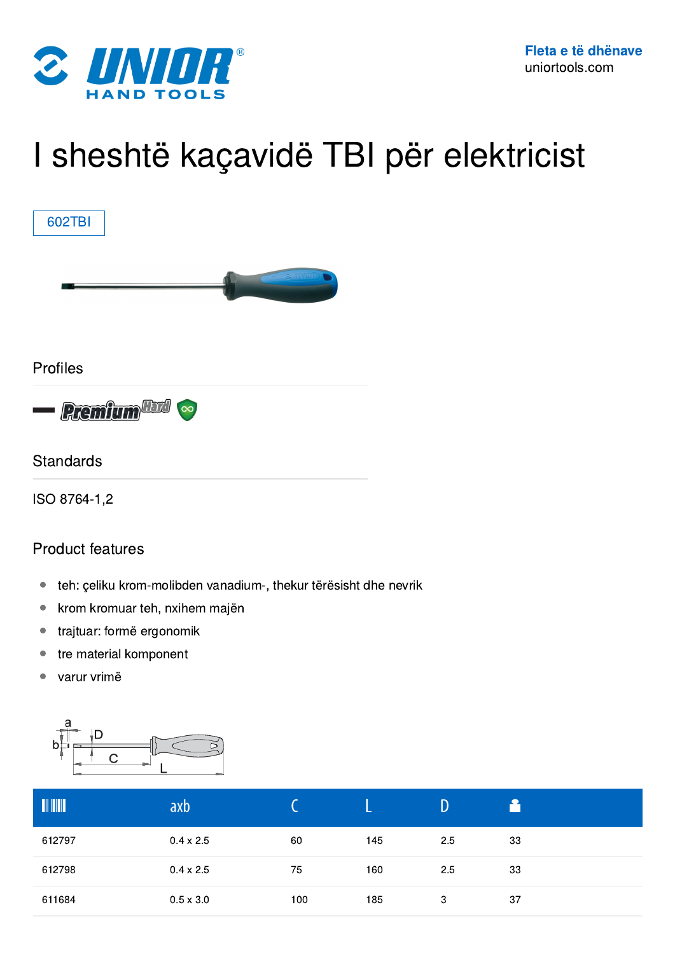

## I sheshtë kaçavidë TBI për elektricist



## Product features

- teh: çeliku krom-molibden vanadium-, thekur tërësisht dhe nevrik
- krom kromuar teh, nxihem majën
- trajtuar: formë ergonomik
- tre material komponent
- varur vrimë



| $\begin{array}{c} \hline \multicolumn{3}{c}{} & \multicolumn{3}{c}{} \\ \multicolumn{3}{c}{} & \multicolumn{3}{c}{} \\ \multicolumn{3}{c}{} & \multicolumn{3}{c}{} \\ \multicolumn{3}{c}{} & \multicolumn{3}{c}{} \\ \multicolumn{3}{c}{} & \multicolumn{3}{c}{} \\ \multicolumn{3}{c}{} & \multicolumn{3}{c}{} \\ \multicolumn{3}{c}{} & \multicolumn{3}{c}{} \\ \multicolumn{3}{c}{} & \multicolumn{3}{c}{} \\ \multicolumn{3}{c}{} & \multicolumn{3}{c}{} \\ \multicolumn{3}{c}{} & \$ | axb              |     |     |     |    |
|-------------------------------------------------------------------------------------------------------------------------------------------------------------------------------------------------------------------------------------------------------------------------------------------------------------------------------------------------------------------------------------------------------------------------------------------------------------------------------------------|------------------|-----|-----|-----|----|
| 612797                                                                                                                                                                                                                                                                                                                                                                                                                                                                                    | $0.4 \times 2.5$ | 60  | 145 | 2.5 | 33 |
| 612798                                                                                                                                                                                                                                                                                                                                                                                                                                                                                    | $0.4 \times 2.5$ | 75  | 160 | 2.5 | 33 |
| 611684                                                                                                                                                                                                                                                                                                                                                                                                                                                                                    | $0.5 \times 3.0$ | 100 | 185 | 3   | 37 |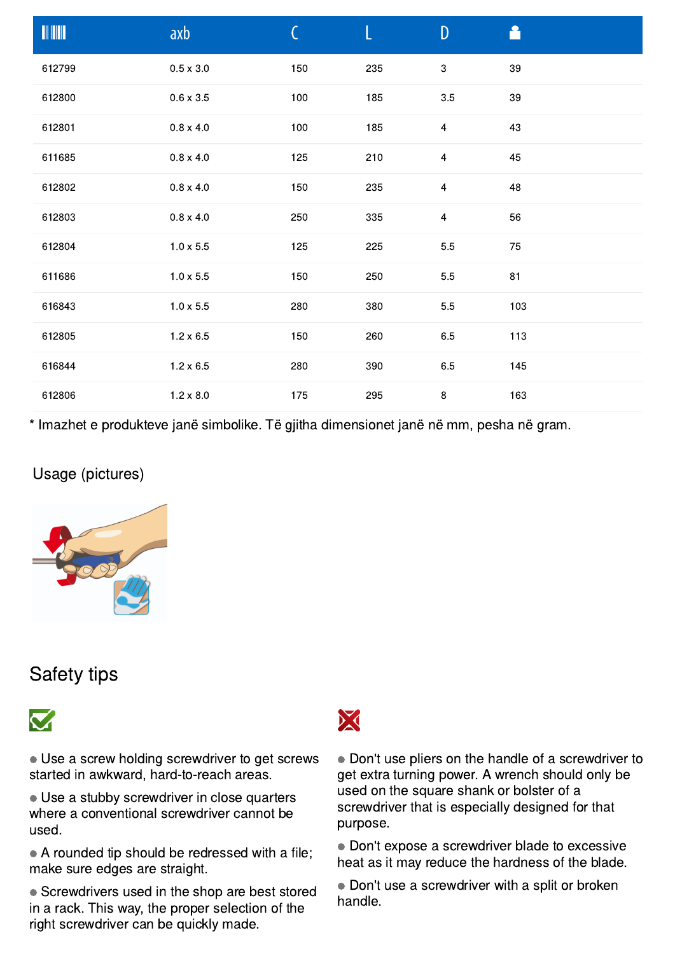|        | axb              | C   | L   | $\mathsf{D}$            | A      |
|--------|------------------|-----|-----|-------------------------|--------|
| 612799 | $0.5 \times 3.0$ | 150 | 235 | $\,3$                   | 39     |
| 612800 | $0.6 \times 3.5$ | 100 | 185 | $3.5\,$                 | $39\,$ |
| 612801 | $0.8 \times 4.0$ | 100 | 185 | $\overline{4}$          | 43     |
| 611685 | $0.8 \times 4.0$ | 125 | 210 | $\overline{\mathbf{4}}$ | 45     |
| 612802 | $0.8 \times 4.0$ | 150 | 235 | $\overline{4}$          | 48     |
| 612803 | $0.8 \times 4.0$ | 250 | 335 | $\overline{4}$          | 56     |
| 612804 | $1.0 \times 5.5$ | 125 | 225 | $5.5\,$                 | 75     |
| 611686 | $1.0 \times 5.5$ | 150 | 250 | $5.5\,$                 | 81     |
| 616843 | $1.0 \times 5.5$ | 280 | 380 | 5.5                     | 103    |
| 612805 | $1.2 \times 6.5$ | 150 | 260 | 6.5                     | 113    |
| 616844 | $1.2 \times 6.5$ | 280 | 390 | 6.5                     | 145    |
| 612806 | $1.2 \times 8.0$ | 175 | 295 | $\bf 8$                 | 163    |

\* Imazhet e produkteve janë simbolike. Të gjitha dimensionet janë në mm, pesha në gram.

## Usage (pictures)



## Safety tips



● Use a screw holding screwdriver to get screws started in awkward, hard-to-reach areas.

● Use a stubby screwdriver in close quarters where a conventional screwdriver cannot be used.

● A rounded tip should be redressed with a file; make sure edges are straight.

• Screwdrivers used in the shop are best stored in a rack. This way, the proper selection of the right screwdriver can be quickly made.



● Don't use pliers on the handle of a screwdriver to get extra turning power. A wrench should only be used on the square shank or bolster of a screwdriver that is especially designed for that purpose.

● Don't expose a screwdriver blade to excessive heat as it may reduce the hardness of the blade.

• Don't use a screwdriver with a split or broken handle.